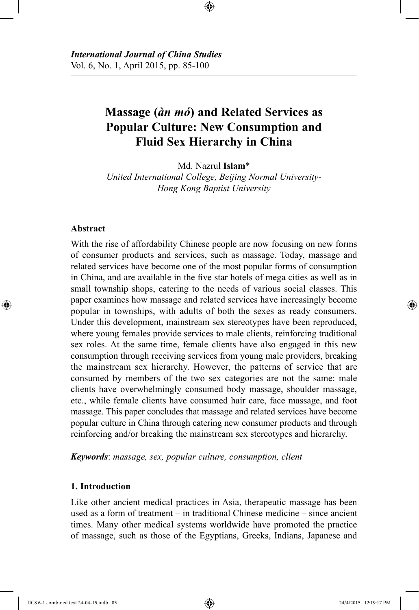# **Massage (***àn mó***) and Related Services as Popular Culture: New Consumption and Fluid Sex Hierarchy in China**

Md. Nazrul **Islam**\*

*United International College, Beijing Normal University-Hong Kong Baptist University*

#### **Abstract**

With the rise of affordability Chinese people are now focusing on new forms of consumer products and services, such as massage. Today, massage and related services have become one of the most popular forms of consumption in China, and are available in the five star hotels of mega cities as well as in small township shops, catering to the needs of various social classes. This paper examines how massage and related services have increasingly become popular in townships, with adults of both the sexes as ready consumers. Under this development, mainstream sex stereotypes have been reproduced, where young females provide services to male clients, reinforcing traditional sex roles. At the same time, female clients have also engaged in this new consumption through receiving services from young male providers, breaking the mainstream sex hierarchy. However, the patterns of service that are consumed by members of the two sex categories are not the same: male clients have overwhelmingly consumed body massage, shoulder massage, etc., while female clients have consumed hair care, face massage, and foot massage. This paper concludes that massage and related services have become popular culture in China through catering new consumer products and through reinforcing and/or breaking the mainstream sex stereotypes and hierarchy.

*Keywords*: *massage, sex, popular culture, consumption, client*

#### **1. Introduction**

Like other ancient medical practices in Asia, therapeutic massage has been used as a form of treatment – in traditional Chinese medicine – since ancient times. Many other medical systems worldwide have promoted the practice of massage, such as those of the Egyptians, Greeks, Indians, Japanese and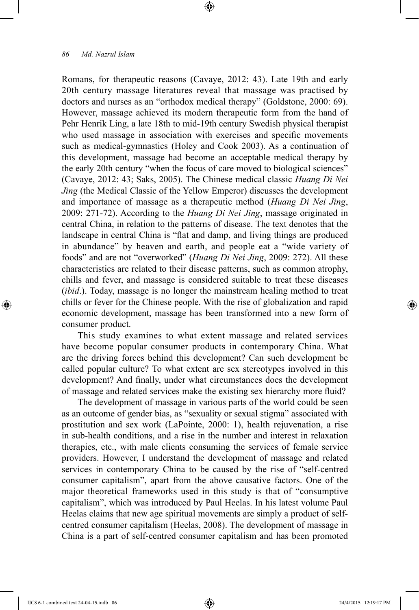Romans, for therapeutic reasons (Cavaye, 2012: 43). Late 19th and early 20th century massage literatures reveal that massage was practised by doctors and nurses as an "orthodox medical therapy" (Goldstone, 2000: 69). However, massage achieved its modern therapeutic form from the hand of Pehr Henrik Ling, a late 18th to mid-19th century Swedish physical therapist who used massage in association with exercises and specific movements such as medical-gymnastics (Holey and Cook 2003). As a continuation of this development, massage had become an acceptable medical therapy by the early 20th century "when the focus of care moved to biological sciences" (Cavaye, 2012: 43; Saks, 2005). The Chinese medical classic *Huang Di Nei Jing* (the Medical Classic of the Yellow Emperor) discusses the development and importance of massage as a therapeutic method (*Huang Di Nei Jing*, 2009: 271-72). According to the *Huang Di Nei Jing*, massage originated in central China, in relation to the patterns of disease. The text denotes that the landscape in central China is "flat and damp, and living things are produced in abundance" by heaven and earth, and people eat a "wide variety of foods" and are not "overworked" (*Huang Di Nei Jing*, 2009: 272). All these characteristics are related to their disease patterns, such as common atrophy, chills and fever, and massage is considered suitable to treat these diseases (*ibid*.). Today, massage is no longer the mainstream healing method to treat chills or fever for the Chinese people. With the rise of globalization and rapid economic development, massage has been transformed into a new form of consumer product.

This study examines to what extent massage and related services have become popular consumer products in contemporary China. What are the driving forces behind this development? Can such development be called popular culture? To what extent are sex stereotypes involved in this development? And finally, under what circumstances does the development of massage and related services make the existing sex hierarchy more fluid?

The development of massage in various parts of the world could be seen as an outcome of gender bias, as "sexuality or sexual stigma" associated with prostitution and sex work (LaPointe, 2000: 1), health rejuvenation, a rise in sub-health conditions, and a rise in the number and interest in relaxation therapies, etc., with male clients consuming the services of female service providers. However, I understand the development of massage and related services in contemporary China to be caused by the rise of "self-centred consumer capitalism", apart from the above causative factors. One of the major theoretical frameworks used in this study is that of "consumptive capitalism", which was introduced by Paul Heelas. In his latest volume Paul Heelas claims that new age spiritual movements are simply a product of selfcentred consumer capitalism (Heelas, 2008). The development of massage in China is a part of self-centred consumer capitalism and has been promoted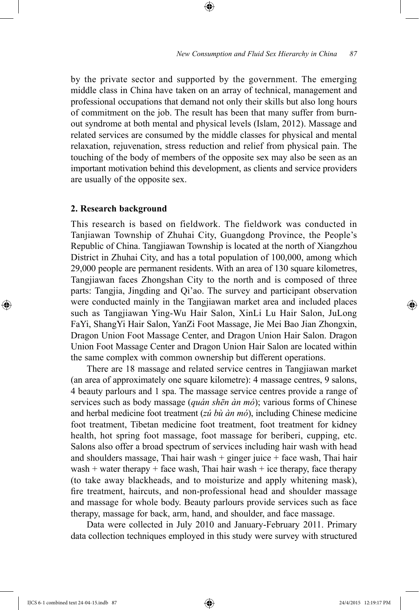by the private sector and supported by the government. The emerging middle class in China have taken on an array of technical, management and professional occupations that demand not only their skills but also long hours of commitment on the job. The result has been that many suffer from burnout syndrome at both mental and physical levels (Islam, 2012). Massage and related services are consumed by the middle classes for physical and mental relaxation, rejuvenation, stress reduction and relief from physical pain. The touching of the body of members of the opposite sex may also be seen as an important motivation behind this development, as clients and service providers are usually of the opposite sex.

#### **2. Research background**

This research is based on fieldwork. The fieldwork was conducted in Tanjiawan Township of Zhuhai City, Guangdong Province, the People's Republic of China. Tangjiawan Township is located at the north of Xiangzhou District in Zhuhai City, and has a total population of 100,000, among which 29,000 people are permanent residents. With an area of 130 square kilometres, Tangjiawan faces Zhongshan City to the north and is composed of three parts: Tangjia, Jingding and Qi'ao. The survey and participant observation were conducted mainly in the Tangjiawan market area and included places such as Tangjiawan Ying-Wu Hair Salon, XinLi Lu Hair Salon, JuLong FaYi, ShangYi Hair Salon, YanZi Foot Massage, Jie Mei Bao Jian Zhongxin, Dragon Union Foot Massage Center, and Dragon Union Hair Salon. Dragon Union Foot Massage Center and Dragon Union Hair Salon are located within the same complex with common ownership but different operations.

There are 18 massage and related service centres in Tangjiawan market (an area of approximately one square kilometre): 4 massage centres, 9 salons, 4 beauty parlours and 1 spa. The massage service centres provide a range of services such as body massage (*quán shēn àn mó*); various forms of Chinese and herbal medicine foot treatment (*zú bù àn mó*), including Chinese medicine foot treatment, Tibetan medicine foot treatment, foot treatment for kidney health, hot spring foot massage, foot massage for beriberi, cupping, etc. Salons also offer a broad spectrum of services including hair wash with head and shoulders massage, Thai hair wash  $+$  ginger juice  $+$  face wash, Thai hair wash + water therapy + face wash, Thai hair wash + ice therapy, face therapy (to take away blackheads, and to moisturize and apply whitening mask), fire treatment, haircuts, and non-professional head and shoulder massage and massage for whole body. Beauty parlours provide services such as face therapy, massage for back, arm, hand, and shoulder, and face massage.

Data were collected in July 2010 and January-February 2011. Primary data collection techniques employed in this study were survey with structured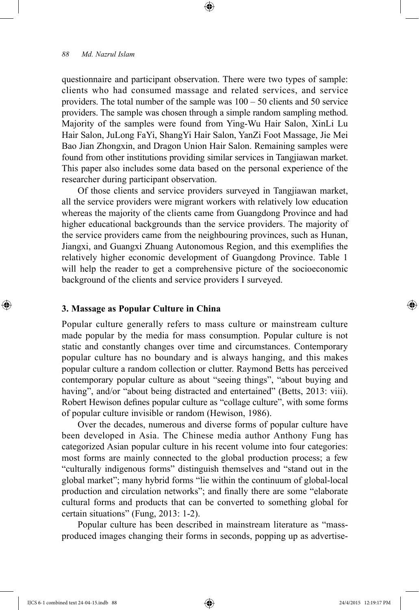questionnaire and participant observation. There were two types of sample: clients who had consumed massage and related services, and service providers. The total number of the sample was  $100 - 50$  clients and 50 service providers. The sample was chosen through a simple random sampling method. Majority of the samples were found from Ying-Wu Hair Salon, XinLi Lu Hair Salon, JuLong FaYi, ShangYi Hair Salon, YanZi Foot Massage, Jie Mei Bao Jian Zhongxin, and Dragon Union Hair Salon. Remaining samples were found from other institutions providing similar services in Tangjiawan market. This paper also includes some data based on the personal experience of the researcher during participant observation.

Of those clients and service providers surveyed in Tangjiawan market, all the service providers were migrant workers with relatively low education whereas the majority of the clients came from Guangdong Province and had higher educational backgrounds than the service providers. The majority of the service providers came from the neighbouring provinces, such as Hunan, Jiangxi, and Guangxi Zhuang Autonomous Region, and this exemplifies the relatively higher economic development of Guangdong Province. Table 1 will help the reader to get a comprehensive picture of the socioeconomic background of the clients and service providers I surveyed.

# **3. Massage as Popular Culture in China**

Popular culture generally refers to mass culture or mainstream culture made popular by the media for mass consumption. Popular culture is not static and constantly changes over time and circumstances. Contemporary popular culture has no boundary and is always hanging, and this makes popular culture a random collection or clutter. Raymond Betts has perceived contemporary popular culture as about "seeing things", "about buying and having", and/or "about being distracted and entertained" (Betts, 2013: viii). Robert Hewison defines popular culture as "collage culture", with some forms of popular culture invisible or random (Hewison, 1986).

Over the decades, numerous and diverse forms of popular culture have been developed in Asia. The Chinese media author Anthony Fung has categorized Asian popular culture in his recent volume into four categories: most forms are mainly connected to the global production process; a few "culturally indigenous forms" distinguish themselves and "stand out in the global market"; many hybrid forms "lie within the continuum of global-local production and circulation networks"; and finally there are some "elaborate cultural forms and products that can be converted to something global for certain situations" (Fung, 2013: 1-2).

Popular culture has been described in mainstream literature as "massproduced images changing their forms in seconds, popping up as advertise-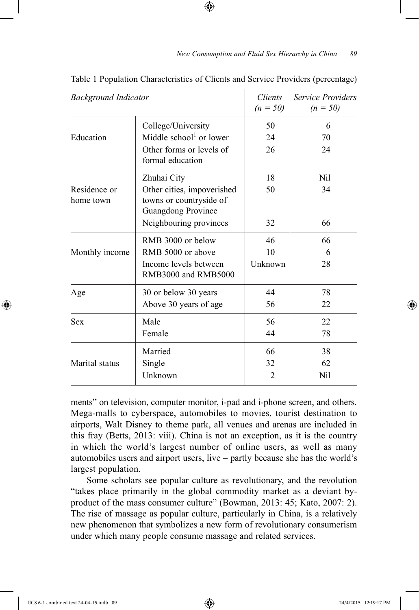| <b>Background Indicator</b> |                                                                                    | Clients<br>$(n = 50)$ | Service Providers<br>$(n = 50)$ |
|-----------------------------|------------------------------------------------------------------------------------|-----------------------|---------------------------------|
|                             | College/University                                                                 | 50                    | 6                               |
| Education                   | Middle school <sup>1</sup> or lower                                                | 24                    | 70                              |
|                             | Other forms or levels of<br>formal education                                       | 26                    | 24                              |
|                             | Zhuhai City                                                                        | 18                    | Nil                             |
| Residence or<br>home town   | Other cities, impoverished<br>towns or countryside of<br><b>Guangdong Province</b> | 50                    | 34                              |
|                             | Neighbouring provinces                                                             | 32                    | 66                              |
| Monthly income              | RMB 3000 or below                                                                  | 46                    | 66                              |
|                             | RMB 5000 or above                                                                  | 10                    | 6                               |
|                             | Income levels between<br>RMB3000 and RMB5000                                       | Unknown               | 28                              |
| Age                         | 30 or below 30 years                                                               | 44                    | 78                              |
|                             | Above 30 years of age                                                              | 56                    | 22                              |
| <b>Sex</b>                  | Male                                                                               | 56                    | 22                              |
|                             | Female                                                                             | 44                    | 78                              |
| Marital status              | Married                                                                            | 66                    | 38                              |
|                             | Single                                                                             | 32                    | 62                              |
|                             | Unknown                                                                            | $\overline{2}$        | Nil                             |

Table 1 Population Characteristics of Clients and Service Providers (percentage)

ments" on television, computer monitor, i-pad and i-phone screen, and others. Mega-malls to cyberspace, automobiles to movies, tourist destination to airports, Walt Disney to theme park, all venues and arenas are included in this fray (Betts, 2013: viii). China is not an exception, as it is the country in which the world's largest number of online users, as well as many automobiles users and airport users, live – partly because she has the world's largest population.

Some scholars see popular culture as revolutionary, and the revolution "takes place primarily in the global commodity market as a deviant byproduct of the mass consumer culture" (Bowman, 2013: 45; Kato, 2007: 2). The rise of massage as popular culture, particularly in China, is a relatively new phenomenon that symbolizes a new form of revolutionary consumerism under which many people consume massage and related services.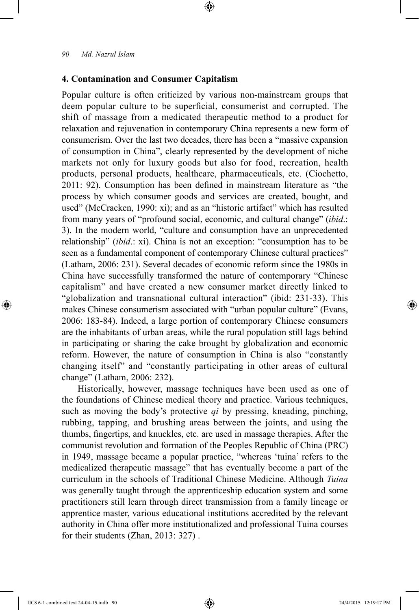# **4. Contamination and Consumer Capitalism**

Popular culture is often criticized by various non-mainstream groups that deem popular culture to be superficial, consumerist and corrupted. The shift of massage from a medicated therapeutic method to a product for relaxation and rejuvenation in contemporary China represents a new form of consumerism. Over the last two decades, there has been a "massive expansion of consumption in China", clearly represented by the development of niche markets not only for luxury goods but also for food, recreation, health products, personal products, healthcare, pharmaceuticals, etc. (Ciochetto, 2011: 92). Consumption has been defined in mainstream literature as "the process by which consumer goods and services are created, bought, and used" (McCracken, 1990: xi); and as an "historic artifact" which has resulted from many years of "profound social, economic, and cultural change" (*ibid*.: 3). In the modern world, "culture and consumption have an unprecedented relationship" (*ibid*.: xi). China is not an exception: "consumption has to be seen as a fundamental component of contemporary Chinese cultural practices" (Latham, 2006: 231). Several decades of economic reform since the 1980s in China have successfully transformed the nature of contemporary "Chinese capitalism" and have created a new consumer market directly linked to "globalization and transnational cultural interaction" (ibid: 231-33). This makes Chinese consumerism associated with "urban popular culture" (Evans, 2006: 183-84). Indeed, a large portion of contemporary Chinese consumers are the inhabitants of urban areas, while the rural population still lags behind in participating or sharing the cake brought by globalization and economic reform. However, the nature of consumption in China is also "constantly changing itself" and "constantly participating in other areas of cultural change" (Latham, 2006: 232).

Historically, however, massage techniques have been used as one of the foundations of Chinese medical theory and practice. Various techniques, such as moving the body's protective *qi* by pressing, kneading, pinching, rubbing, tapping, and brushing areas between the joints, and using the thumbs, fingertips, and knuckles, etc. are used in massage therapies. After the communist revolution and formation of the Peoples Republic of China (PRC) in 1949, massage became a popular practice, "whereas 'tuina' refers to the medicalized therapeutic massage" that has eventually become a part of the curriculum in the schools of Traditional Chinese Medicine. Although *Tuina* was generally taught through the apprenticeship education system and some practitioners still learn through direct transmission from a family lineage or apprentice master, various educational institutions accredited by the relevant authority in China offer more institutionalized and professional Tuina courses for their students (Zhan, 2013: 327) .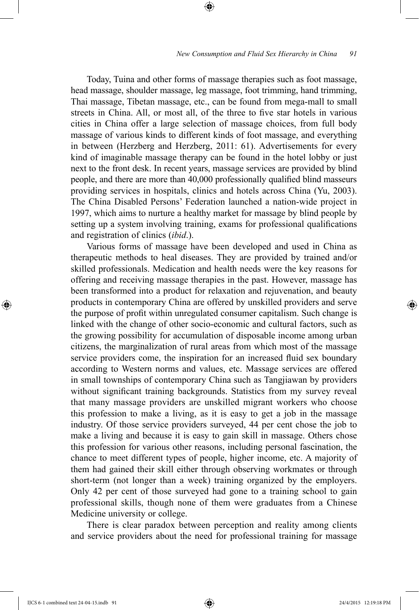Today, Tuina and other forms of massage therapies such as foot massage, head massage, shoulder massage, leg massage, foot trimming, hand trimming, Thai massage, Tibetan massage, etc., can be found from mega-mall to small streets in China. All, or most all, of the three to five star hotels in various cities in China offer a large selection of massage choices, from full body massage of various kinds to different kinds of foot massage, and everything in between (Herzberg and Herzberg, 2011: 61). Advertisements for every kind of imaginable massage therapy can be found in the hotel lobby or just next to the front desk. In recent years, massage services are provided by blind people, and there are more than 40,000 professionally qualified blind masseurs providing services in hospitals, clinics and hotels across China (Yu, 2003). The China Disabled Persons' Federation launched a nation-wide project in 1997, which aims to nurture a healthy market for massage by blind people by setting up a system involving training, exams for professional qualifications and registration of clinics (*ibid*.).

Various forms of massage have been developed and used in China as therapeutic methods to heal diseases. They are provided by trained and/or skilled professionals. Medication and health needs were the key reasons for offering and receiving massage therapies in the past. However, massage has been transformed into a product for relaxation and rejuvenation, and beauty products in contemporary China are offered by unskilled providers and serve the purpose of profit within unregulated consumer capitalism. Such change is linked with the change of other socio-economic and cultural factors, such as the growing possibility for accumulation of disposable income among urban citizens, the marginalization of rural areas from which most of the massage service providers come, the inspiration for an increased fluid sex boundary according to Western norms and values, etc. Massage services are offered in small townships of contemporary China such as Tangjiawan by providers without significant training backgrounds. Statistics from my survey reveal that many massage providers are unskilled migrant workers who choose this profession to make a living, as it is easy to get a job in the massage industry. Of those service providers surveyed, 44 per cent chose the job to make a living and because it is easy to gain skill in massage. Others chose this profession for various other reasons, including personal fascination, the chance to meet different types of people, higher income, etc. A majority of them had gained their skill either through observing workmates or through short-term (not longer than a week) training organized by the employers. Only 42 per cent of those surveyed had gone to a training school to gain professional skills, though none of them were graduates from a Chinese Medicine university or college.

There is clear paradox between perception and reality among clients and service providers about the need for professional training for massage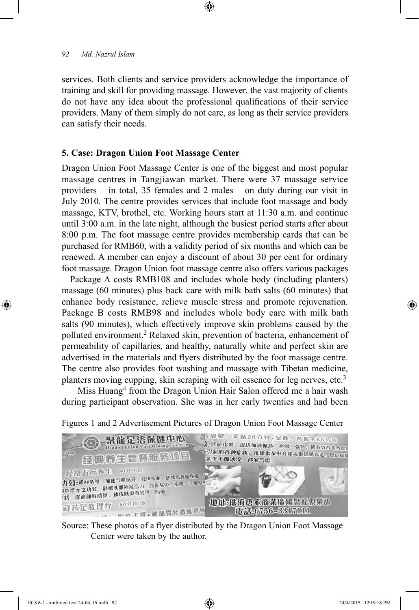services. Both clients and service providers acknowledge the importance of training and skill for providing massage. However, the vast majority of clients do not have any idea about the professional qualifications of their service providers. Many of them simply do not care, as long as their service providers can satisfy their needs.

# **5. Case: Dragon Union Foot Massage Center**

Dragon Union Foot Massage Center is one of the biggest and most popular massage centres in Tangjiawan market. There were 37 massage service providers – in total, 35 females and 2 males – on duty during our visit in July 2010. The centre provides services that include foot massage and body massage, KTV, brothel, etc. Working hours start at 11:30 a.m. and continue until 3:00 a.m. in the late night, although the busiest period starts after about 8:00 p.m. The foot massage centre provides membership cards that can be purchased for RMB60, with a validity period of six months and which can be renewed. A member can enjoy a discount of about 30 per cent for ordinary foot massage. Dragon Union foot massage centre also offers various packages – Package A costs RMB108 and includes whole body (including planters) massage (60 minutes) plus back care with milk bath salts (60 minutes) that enhance body resistance, relieve muscle stress and promote rejuvenation. Package B costs RMB98 and includes whole body care with milk bath salts (90 minutes), which effectively improve skin problems caused by the polluted environment.2 Relaxed skin, prevention of bacteria, enhancement of permeability of capillaries, and healthy, naturally white and perfect skin are advertised in the materials and flyers distributed by the foot massage centre. The centre also provides foot washing and massage with Tibetan medicine, planters moving cupping, skin scraping with oil essence for leg nerves, etc.<sup>3</sup>

Miss Huang<sup>4</sup> from the Dragon Union Hair Salon offered me a hair wash during participant observation. She was in her early twenties and had been

Figures 1 and 2 Advertisement Pictures of Dragon Union Foot Massage Center



Source: These photos of a flyer distributed by the Dragon Union Foot Massage Center were taken by the author.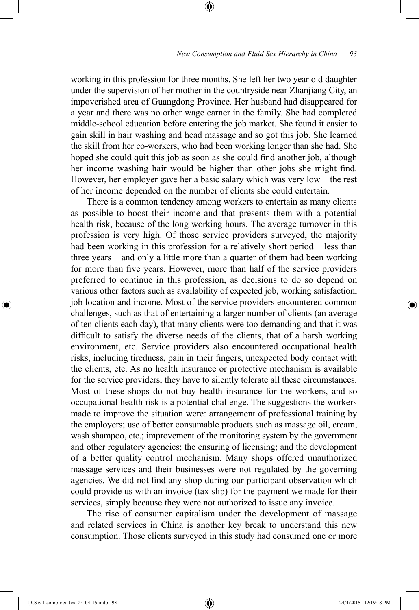working in this profession for three months. She left her two year old daughter under the supervision of her mother in the countryside near Zhanjiang City, an impoverished area of Guangdong Province. Her husband had disappeared for a year and there was no other wage earner in the family. She had completed middle-school education before entering the job market. She found it easier to gain skill in hair washing and head massage and so got this job. She learned the skill from her co-workers, who had been working longer than she had. She hoped she could quit this job as soon as she could find another job, although her income washing hair would be higher than other jobs she might find. However, her employer gave her a basic salary which was very low – the rest of her income depended on the number of clients she could entertain.

There is a common tendency among workers to entertain as many clients as possible to boost their income and that presents them with a potential health risk, because of the long working hours. The average turnover in this profession is very high. Of those service providers surveyed, the majority had been working in this profession for a relatively short period – less than three years – and only a little more than a quarter of them had been working for more than five years. However, more than half of the service providers preferred to continue in this profession, as decisions to do so depend on various other factors such as availability of expected job, working satisfaction, job location and income. Most of the service providers encountered common challenges, such as that of entertaining a larger number of clients (an average of ten clients each day), that many clients were too demanding and that it was difficult to satisfy the diverse needs of the clients, that of a harsh working environment, etc. Service providers also encountered occupational health risks, including tiredness, pain in their fingers, unexpected body contact with the clients, etc. As no health insurance or protective mechanism is available for the service providers, they have to silently tolerate all these circumstances. Most of these shops do not buy health insurance for the workers, and so occupational health risk is a potential challenge. The suggestions the workers made to improve the situation were: arrangement of professional training by the employers; use of better consumable products such as massage oil, cream, wash shampoo, etc.; improvement of the monitoring system by the government and other regulatory agencies; the ensuring of licensing; and the development of a better quality control mechanism. Many shops offered unauthorized massage services and their businesses were not regulated by the governing agencies. We did not find any shop during our participant observation which could provide us with an invoice (tax slip) for the payment we made for their services, simply because they were not authorized to issue any invoice.

The rise of consumer capitalism under the development of massage and related services in China is another key break to understand this new consumption. Those clients surveyed in this study had consumed one or more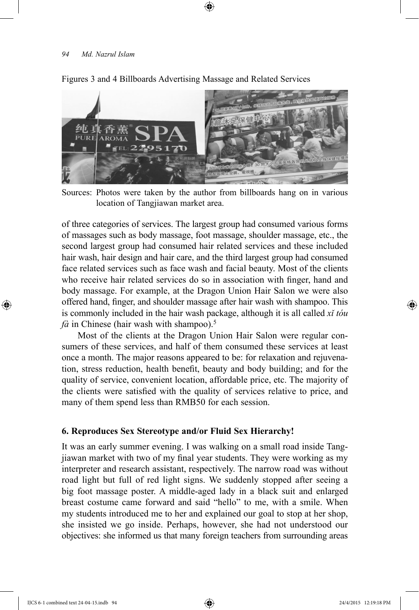

Figures 3 and 4 Billboards Advertising Massage and Related Services

Sources: Photos were taken by the author from billboards hang on in various location of Tangjiawan market area.

of three categories of services. The largest group had consumed various forms of massages such as body massage, foot massage, shoulder massage, etc., the second largest group had consumed hair related services and these included hair wash, hair design and hair care, and the third largest group had consumed face related services such as face wash and facial beauty. Most of the clients who receive hair related services do so in association with finger, hand and body massage. For example, at the Dragon Union Hair Salon we were also offered hand, finger, and shoulder massage after hair wash with shampoo. This is commonly included in the hair wash package, although it is all called *xǐ tóu*   $f\hat{a}$  in Chinese (hair wash with shampoo).<sup>5</sup>

Most of the clients at the Dragon Union Hair Salon were regular consumers of these services, and half of them consumed these services at least once a month. The major reasons appeared to be: for relaxation and rejuvenation, stress reduction, health benefit, beauty and body building; and for the quality of service, convenient location, affordable price, etc. The majority of the clients were satisfied with the quality of services relative to price, and many of them spend less than RMB50 for each session.

# **6. Reproduces Sex Stereotype and/or Fluid Sex Hierarchy!**

It was an early summer evening. I was walking on a small road inside Tangjiawan market with two of my final year students. They were working as my interpreter and research assistant, respectively. The narrow road was without road light but full of red light signs. We suddenly stopped after seeing a big foot massage poster. A middle-aged lady in a black suit and enlarged breast costume came forward and said "hello" to me, with a smile. When my students introduced me to her and explained our goal to stop at her shop, she insisted we go inside. Perhaps, however, she had not understood our objectives: she informed us that many foreign teachers from surrounding areas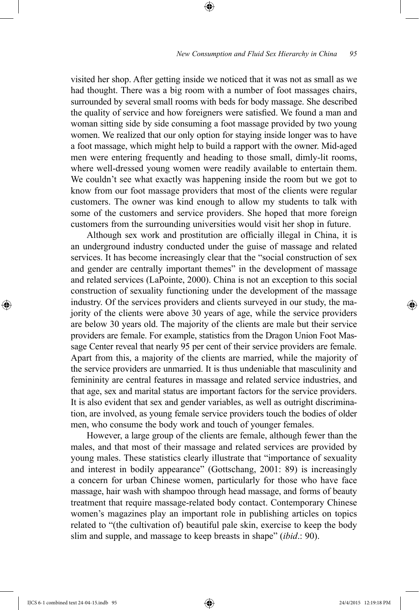visited her shop. After getting inside we noticed that it was not as small as we had thought. There was a big room with a number of foot massages chairs, surrounded by several small rooms with beds for body massage. She described the quality of service and how foreigners were satisfied. We found a man and woman sitting side by side consuming a foot massage provided by two young women. We realized that our only option for staying inside longer was to have a foot massage, which might help to build a rapport with the owner. Mid-aged men were entering frequently and heading to those small, dimly-lit rooms, where well-dressed young women were readily available to entertain them. We couldn't see what exactly was happening inside the room but we got to know from our foot massage providers that most of the clients were regular customers. The owner was kind enough to allow my students to talk with some of the customers and service providers. She hoped that more foreign customers from the surrounding universities would visit her shop in future.

Although sex work and prostitution are officially illegal in China, it is an underground industry conducted under the guise of massage and related services. It has become increasingly clear that the "social construction of sex and gender are centrally important themes" in the development of massage and related services (LaPointe, 2000). China is not an exception to this social construction of sexuality functioning under the development of the massage industry. Of the services providers and clients surveyed in our study, the majority of the clients were above 30 years of age, while the service providers are below 30 years old. The majority of the clients are male but their service providers are female. For example, statistics from the Dragon Union Foot Massage Center reveal that nearly 95 per cent of their service providers are female. Apart from this, a majority of the clients are married, while the majority of the service providers are unmarried. It is thus undeniable that masculinity and femininity are central features in massage and related service industries, and that age, sex and marital status are important factors for the service providers. It is also evident that sex and gender variables, as well as outright discrimination, are involved, as young female service providers touch the bodies of older men, who consume the body work and touch of younger females.

However, a large group of the clients are female, although fewer than the males, and that most of their massage and related services are provided by young males. These statistics clearly illustrate that "importance of sexuality and interest in bodily appearance" (Gottschang, 2001: 89) is increasingly a concern for urban Chinese women, particularly for those who have face massage, hair wash with shampoo through head massage, and forms of beauty treatment that require massage-related body contact. Contemporary Chinese women's magazines play an important role in publishing articles on topics related to "(the cultivation of) beautiful pale skin, exercise to keep the body slim and supple, and massage to keep breasts in shape" (*ibid*.: 90).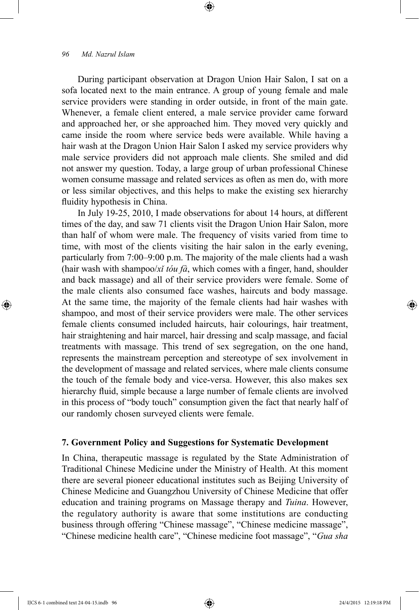During participant observation at Dragon Union Hair Salon, I sat on a sofa located next to the main entrance. A group of young female and male service providers were standing in order outside, in front of the main gate. Whenever, a female client entered, a male service provider came forward and approached her, or she approached him. They moved very quickly and came inside the room where service beds were available. While having a hair wash at the Dragon Union Hair Salon I asked my service providers why male service providers did not approach male clients. She smiled and did not answer my question. Today, a large group of urban professional Chinese women consume massage and related services as often as men do, with more or less similar objectives, and this helps to make the existing sex hierarchy fluidity hypothesis in China.

In July 19-25, 2010, I made observations for about 14 hours, at different times of the day, and saw 71 clients visit the Dragon Union Hair Salon, more than half of whom were male. The frequency of visits varied from time to time, with most of the clients visiting the hair salon in the early evening, particularly from 7:00–9:00 p.m. The majority of the male clients had a wash (hair wash with shampoo/*xǐ tóu fà*, which comes with a finger, hand, shoulder and back massage) and all of their service providers were female. Some of the male clients also consumed face washes, haircuts and body massage. At the same time, the majority of the female clients had hair washes with shampoo, and most of their service providers were male. The other services female clients consumed included haircuts, hair colourings, hair treatment, hair straightening and hair marcel, hair dressing and scalp massage, and facial treatments with massage. This trend of sex segregation, on the one hand, represents the mainstream perception and stereotype of sex involvement in the development of massage and related services, where male clients consume the touch of the female body and vice-versa. However, this also makes sex hierarchy fluid, simple because a large number of female clients are involved in this process of "body touch" consumption given the fact that nearly half of our randomly chosen surveyed clients were female.

#### **7. Government Policy and Suggestions for Systematic Development**

In China, therapeutic massage is regulated by the State Administration of Traditional Chinese Medicine under the Ministry of Health. At this moment there are several pioneer educational institutes such as Beijing University of Chinese Medicine and Guangzhou University of Chinese Medicine that offer education and training programs on Massage therapy and *Tuina*. However, the regulatory authority is aware that some institutions are conducting business through offering "Chinese massage", "Chinese medicine massage", "Chinese medicine health care", "Chinese medicine foot massage", "*Gua sha*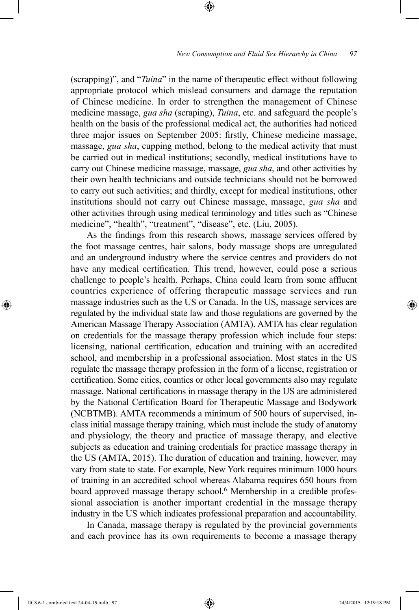(scrapping)", and "*Tuina*" in the name of therapeutic effect without following appropriate protocol which mislead consumers and damage the reputation of Chinese medicine. In order to strengthen the management of Chinese medicine massage, *gua sha* (scraping), *Tuina*, etc. and safeguard the people's health on the basis of the professional medical act, the authorities had noticed three major issues on September 2005: firstly, Chinese medicine massage, massage, *gua sha*, cupping method, belong to the medical activity that must be carried out in medical institutions; secondly, medical institutions have to carry out Chinese medicine massage, massage, *gua sha*, and other activities by their own health technicians and outside technicians should not be borrowed to carry out such activities; and thirdly, except for medical institutions, other institutions should not carry out Chinese massage, massage, *gua sha* and other activities through using medical terminology and titles such as "Chinese medicine", "health", "treatment", "disease", etc. (Liu, 2005).

As the findings from this research shows, massage services offered by the foot massage centres, hair salons, body massage shops are unregulated and an underground industry where the service centres and providers do not have any medical certification. This trend, however, could pose a serious challenge to people's health. Perhaps, China could learn from some affluent countries experience of offering therapeutic massage services and run massage industries such as the US or Canada. In the US, massage services are regulated by the individual state law and those regulations are governed by the American Massage Therapy Association (AMTA). AMTA has clear regulation on credentials for the massage therapy profession which include four steps: licensing, national certification, education and training with an accredited school, and membership in a professional association. Most states in the US regulate the massage therapy profession in the form of a license, registration or certification. Some cities, counties or other local governments also may regulate massage. National certifications in massage therapy in the US are administered by the National Certification Board for Therapeutic Massage and Bodywork (NCBTMB). AMTA recommends a minimum of 500 hours of supervised, inclass initial massage therapy training, which must include the study of anatomy and physiology, the theory and practice of massage therapy, and elective subjects as education and training credentials for practice massage therapy in the US (AMTA, 2015). The duration of education and training, however, may vary from state to state. For example, New York requires minimum 1000 hours of training in an accredited school whereas Alabama requires 650 hours from board approved massage therapy school.6 Membership in a credible professional association is another important credential in the massage therapy industry in the US which indicates professional preparation and accountability.

In Canada, massage therapy is regulated by the provincial governments and each province has its own requirements to become a massage therapy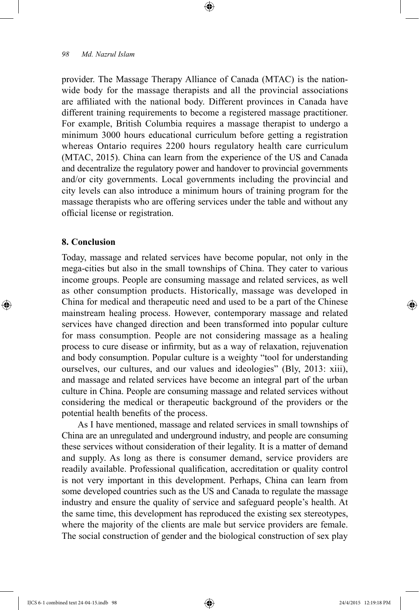provider. The Massage Therapy Alliance of Canada (MTAC) is the nationwide body for the massage therapists and all the provincial associations are affiliated with the national body. Different provinces in Canada have different training requirements to become a registered massage practitioner. For example, British Columbia requires a massage therapist to undergo a minimum 3000 hours educational curriculum before getting a registration whereas Ontario requires 2200 hours regulatory health care curriculum (MTAC, 2015). China can learn from the experience of the US and Canada and decentralize the regulatory power and handover to provincial governments and/or city governments. Local governments including the provincial and city levels can also introduce a minimum hours of training program for the massage therapists who are offering services under the table and without any official license or registration.

# **8. Conclusion**

Today, massage and related services have become popular, not only in the mega-cities but also in the small townships of China. They cater to various income groups. People are consuming massage and related services, as well as other consumption products. Historically, massage was developed in China for medical and therapeutic need and used to be a part of the Chinese mainstream healing process. However, contemporary massage and related services have changed direction and been transformed into popular culture for mass consumption. People are not considering massage as a healing process to cure disease or infirmity, but as a way of relaxation, rejuvenation and body consumption. Popular culture is a weighty "tool for understanding ourselves, our cultures, and our values and ideologies" (Bly, 2013: xiii), and massage and related services have become an integral part of the urban culture in China. People are consuming massage and related services without considering the medical or therapeutic background of the providers or the potential health benefits of the process.

As I have mentioned, massage and related services in small townships of China are an unregulated and underground industry, and people are consuming these services without consideration of their legality. It is a matter of demand and supply. As long as there is consumer demand, service providers are readily available. Professional qualification, accreditation or quality control is not very important in this development. Perhaps, China can learn from some developed countries such as the US and Canada to regulate the massage industry and ensure the quality of service and safeguard people's health. At the same time, this development has reproduced the existing sex stereotypes, where the majority of the clients are male but service providers are female. The social construction of gender and the biological construction of sex play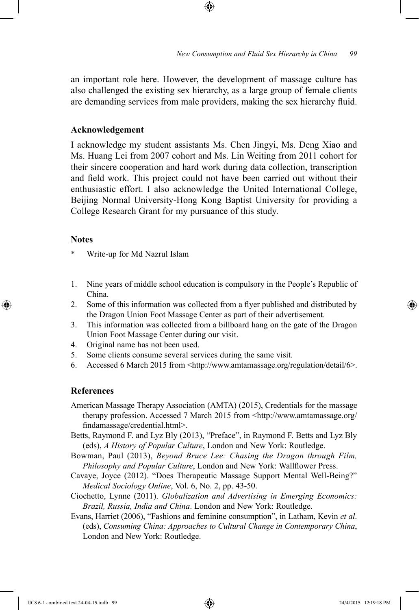an important role here. However, the development of massage culture has also challenged the existing sex hierarchy, as a large group of female clients are demanding services from male providers, making the sex hierarchy fluid.

#### **Acknowledgement**

I acknowledge my student assistants Ms. Chen Jingyi, Ms. Deng Xiao and Ms. Huang Lei from 2007 cohort and Ms. Lin Weiting from 2011 cohort for their sincere cooperation and hard work during data collection, transcription and field work. This project could not have been carried out without their enthusiastic effort. I also acknowledge the United International College, Beijing Normal University-Hong Kong Baptist University for providing a College Research Grant for my pursuance of this study.

#### **Notes**

Write-up for Md Nazrul Islam

- 1. Nine years of middle school education is compulsory in the People's Republic of China.
- 2. Some of this information was collected from a flyer published and distributed by the Dragon Union Foot Massage Center as part of their advertisement.
- 3. This information was collected from a billboard hang on the gate of the Dragon Union Foot Massage Center during our visit.
- 4. Original name has not been used.
- 5. Some clients consume several services during the same visit.
- 6. Accessed 6 March 2015 from  $\langle \text{http://www.antamasage.org/regularion/detail/6>}\rangle$ .

# **References**

- American Massage Therapy Association (AMTA) (2015), Credentials for the massage therapy profession. Accessed 7 March 2015 from <http://www.amtamassage.org/ findamassage/credential.html>.
- Betts, Raymond F. and Lyz Bly (2013), "Preface", in Raymond F. Betts and Lyz Bly (eds), *A History of Popular Culture*, London and New York: Routledge.
- Bowman, Paul (2013), *Beyond Bruce Lee: Chasing the Dragon through Film, Philosophy and Popular Culture*, London and New York: Wallflower Press.
- Cavaye, Joyce (2012). "Does Therapeutic Massage Support Mental Well-Being?" *Medical Sociology Online*, Vol. 6, No. 2, pp. 43-50.
- Ciochetto, Lynne (2011). *Globalization and Advertising in Emerging Economics: Brazil, Russia, India and China*. London and New York: Routledge.
- Evans, Harriet (2006), "Fashions and feminine consumption", in Latham, Kevin *et al*. (eds), *Consuming China: Approaches to Cultural Change in Contemporary China*, London and New York: Routledge.